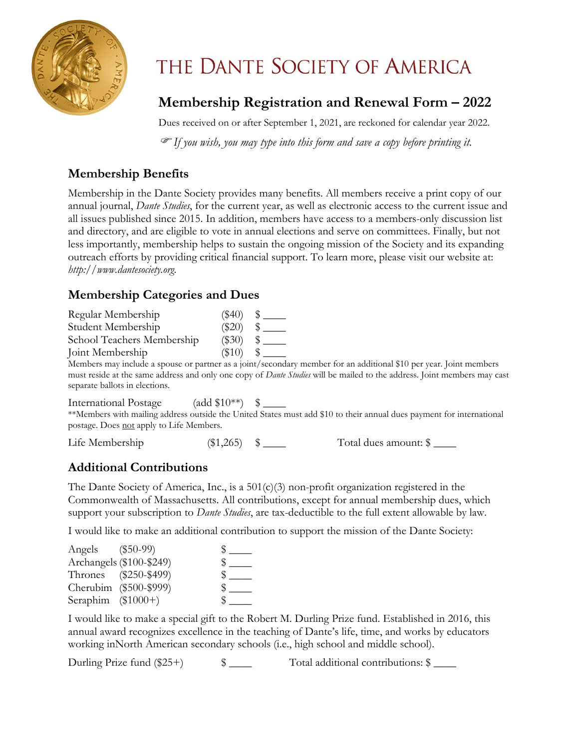

# THE DANTE SOCIETY OF AMERICA

### **Membership Registration and Renewal Form – 2022**

Dues received on or after September 1, 2021, are reckoned for calendar year 2022.

*If you wish, you may type into this form and save a copy before printing it.*

#### **Membership Benefits**

Membership in the Dante Society provides many benefits. All members receive a print copy of our annual journal, *Dante Studies*, for the current year, as well as electronic access to the current issue and all issues published since 2015. In addition, members have access to a members-only discussion list and directory, and are eligible to vote in annual elections and serve on committees. Finally, but not less importantly, membership helps to sustain the ongoing mission of the Society and its expanding outreach efforts by providing critical financial support. To learn more, please visit our website at: *[http://www.dantesociety.org](http://www.dantesociety.org/)*.

#### **Membership Categories and Dues**

| Regular Membership                                                         | $(\$40)$ |               |
|----------------------------------------------------------------------------|----------|---------------|
| Student Membership                                                         | $(\$20)$ |               |
| School Teachers Membership                                                 | $(\$30)$ | $\frac{1}{2}$ |
| Joint Membership                                                           |          |               |
| Members may include a spouse or partner as a joint/secondary member for an |          |               |

additional \$10 per year. Joint members must reside at the same address and only one copy of *Dante Studies* will be mailed to the address. Joint members may cast separate ballots in elections.

International Postage (add \$10\*\*) \$ \_\_\_\_

\*\*Members with mailing address outside the United States must add \$10 to their annual dues payment for international postage. Does not apply to Life Members.

Life Membership (\$1,265)  $\quad \quad$  Total dues amount: \$

#### **Additional Contributions**

The Dante Society of America, Inc., is a 501(c)(3) non-profit organization registered in the Commonwealth of Massachusetts. All contributions, except for annual membership dues, which support your subscription to *Dante Studies*, are tax-deductible to the full extent allowable by law.

I would like to make an additional contribution to support the mission of the Dante Society:

| Angels (\$50-99)   |                          |  |
|--------------------|--------------------------|--|
|                    | Archangels (\$100-\$249) |  |
|                    | Thrones (\$250-\$499)    |  |
|                    | Cherubim (\$500-\$999)   |  |
| Seraphim (\$1000+) |                          |  |

I would like to make a special gift to the Robert M. Durling Prize fund. Established in 2016, this annual award recognizes excellence in the teaching of Dante's life, time, and works by educators working inNorth American secondary schools (i.e., high school and middle school).

Durling Prize fund (\$25+)  $\qquad \qquad$  \$ \_\_\_\_ Total additional contributions: \$